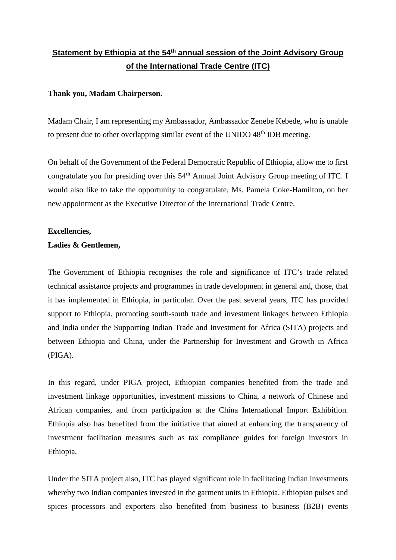# **Statement by Ethiopia at the 54th annual session of the Joint Advisory Group of the International Trade Centre (ITC)**

### **Thank you, Madam Chairperson.**

Madam Chair, I am representing my Ambassador, Ambassador Zenebe Kebede, who is unable to present due to other overlapping similar event of the UNIDO  $48<sup>th</sup>$  IDB meeting.

On behalf of the Government of the Federal Democratic Republic of Ethiopia, allow me to first congratulate you for presiding over this 54<sup>th</sup> Annual Joint Advisory Group meeting of ITC. I would also like to take the opportunity to congratulate, Ms. Pamela Coke-Hamilton, on her new appointment as the Executive Director of the International Trade Centre.

## **Excellencies,**

## **Ladies & Gentlemen,**

The Government of Ethiopia recognises the role and significance of ITC's trade related technical assistance projects and programmes in trade development in general and, those, that it has implemented in Ethiopia, in particular. Over the past several years, ITC has provided support to Ethiopia, promoting south-south trade and investment linkages between Ethiopia and India under the Supporting Indian Trade and Investment for Africa (SITA) projects and between Ethiopia and China, under the Partnership for Investment and Growth in Africa (PIGA).

In this regard, under PIGA project, Ethiopian companies benefited from the trade and investment linkage opportunities, investment missions to China, a network of Chinese and African companies, and from participation at the China International Import Exhibition. Ethiopia also has benefited from the initiative that aimed at enhancing the transparency of investment facilitation measures such as tax compliance guides for foreign investors in Ethiopia.

Under the SITA project also, ITC has played significant role in facilitating Indian investments whereby two Indian companies invested in the garment units in Ethiopia. Ethiopian pulses and spices processors and exporters also benefited from business to business (B2B) events